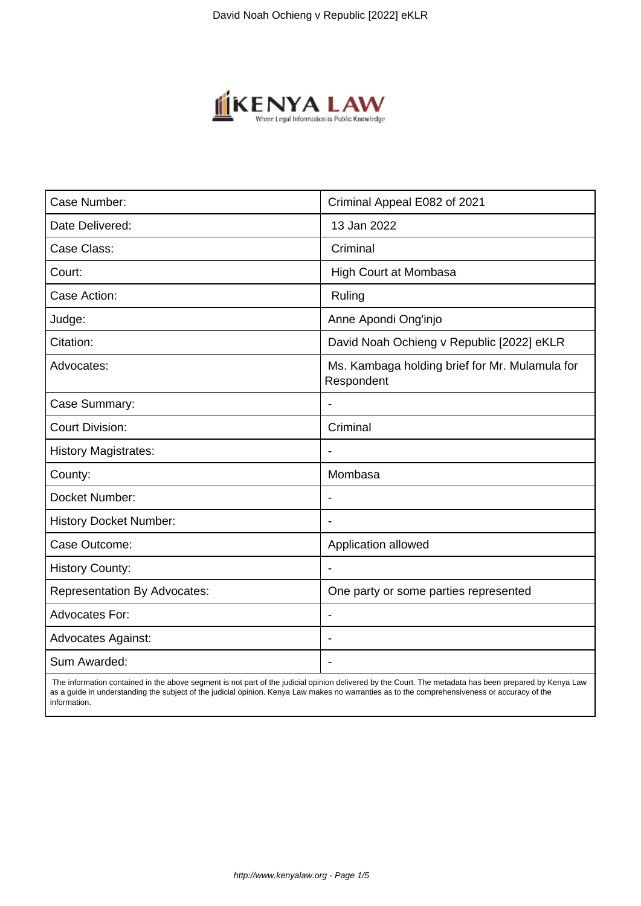

| Case Number:                        | Criminal Appeal E082 of 2021                                 |
|-------------------------------------|--------------------------------------------------------------|
| Date Delivered:                     | 13 Jan 2022                                                  |
| Case Class:                         | Criminal                                                     |
| Court:                              | <b>High Court at Mombasa</b>                                 |
| Case Action:                        | Ruling                                                       |
| Judge:                              | Anne Apondi Ong'injo                                         |
| Citation:                           | David Noah Ochieng v Republic [2022] eKLR                    |
| Advocates:                          | Ms. Kambaga holding brief for Mr. Mulamula for<br>Respondent |
| Case Summary:                       |                                                              |
| <b>Court Division:</b>              | Criminal                                                     |
| <b>History Magistrates:</b>         | $\blacksquare$                                               |
| County:                             | Mombasa                                                      |
| Docket Number:                      |                                                              |
| <b>History Docket Number:</b>       |                                                              |
| Case Outcome:                       | Application allowed                                          |
| <b>History County:</b>              | $\blacksquare$                                               |
| <b>Representation By Advocates:</b> | One party or some parties represented                        |
| <b>Advocates For:</b>               |                                                              |
| <b>Advocates Against:</b>           |                                                              |
| Sum Awarded:                        |                                                              |

 The information contained in the above segment is not part of the judicial opinion delivered by the Court. The metadata has been prepared by Kenya Law as a guide in understanding the subject of the judicial opinion. Kenya Law makes no warranties as to the comprehensiveness or accuracy of the information.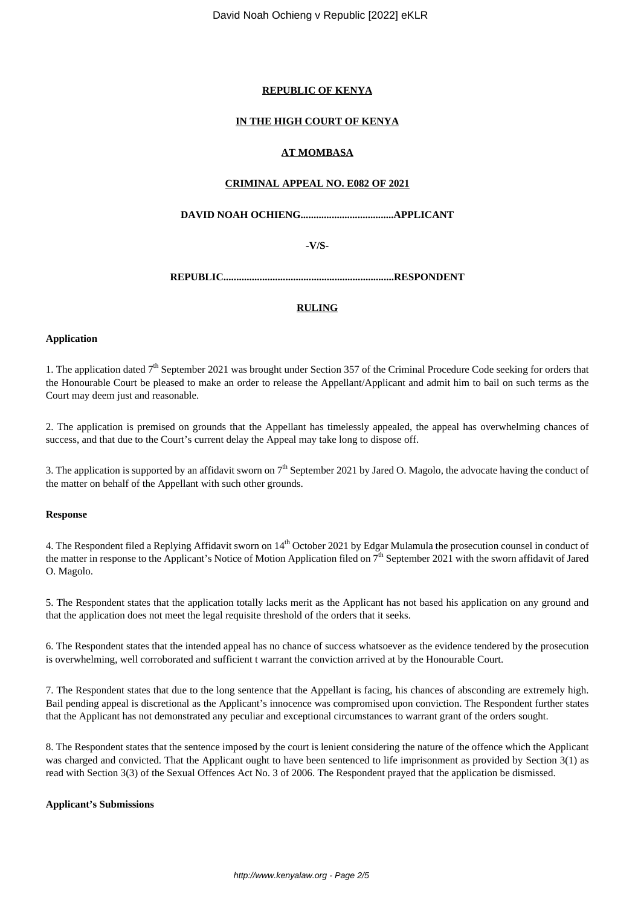David Noah Ochieng v Republic [2022] eKLR

## **REPUBLIC OF KENYA**

## **IN THE HIGH COURT OF KENYA**

## **AT MOMBASA**

## **CRIMINAL APPEAL NO. E082 OF 2021**

**DAVID NOAH OCHIENG....................................APPLICANT**

**-V/S-**

**REPUBLIC..................................................................RESPONDENT**

## **RULING**

## **Application**

1. The application dated  $7<sup>th</sup>$  September 2021 was brought under Section 357 of the Criminal Procedure Code seeking for orders that the Honourable Court be pleased to make an order to release the Appellant/Applicant and admit him to bail on such terms as the Court may deem just and reasonable.

2. The application is premised on grounds that the Appellant has timelessly appealed, the appeal has overwhelming chances of success, and that due to the Court's current delay the Appeal may take long to dispose off.

3. The application is supported by an affidavit sworn on  $7<sup>th</sup>$  September 2021 by Jared O. Magolo, the advocate having the conduct of the matter on behalf of the Appellant with such other grounds.

## **Response**

4. The Respondent filed a Replying Affidavit sworn on 14<sup>th</sup> October 2021 by Edgar Mulamula the prosecution counsel in conduct of the matter in response to the Applicant's Notice of Motion Application filed on 7<sup>th</sup> September 2021 with the sworn affidavit of Jared O. Magolo.

5. The Respondent states that the application totally lacks merit as the Applicant has not based his application on any ground and that the application does not meet the legal requisite threshold of the orders that it seeks.

6. The Respondent states that the intended appeal has no chance of success whatsoever as the evidence tendered by the prosecution is overwhelming, well corroborated and sufficient t warrant the conviction arrived at by the Honourable Court.

7. The Respondent states that due to the long sentence that the Appellant is facing, his chances of absconding are extremely high. Bail pending appeal is discretional as the Applicant's innocence was compromised upon conviction. The Respondent further states that the Applicant has not demonstrated any peculiar and exceptional circumstances to warrant grant of the orders sought.

8. The Respondent states that the sentence imposed by the court is lenient considering the nature of the offence which the Applicant was charged and convicted. That the Applicant ought to have been sentenced to life imprisonment as provided by Section 3(1) as read with Section 3(3) of the Sexual Offences Act No. 3 of 2006. The Respondent prayed that the application be dismissed.

## **Applicant's Submissions**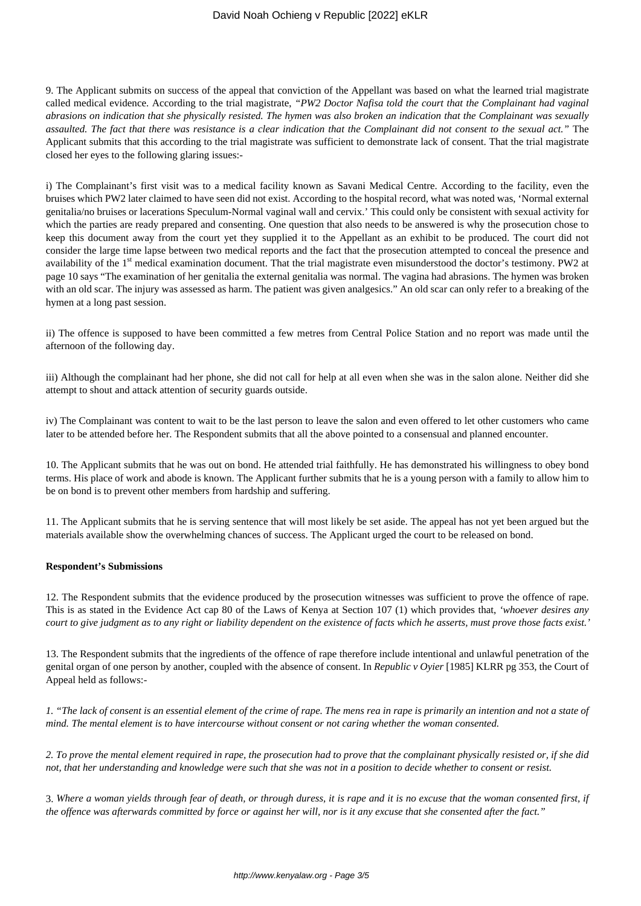9. The Applicant submits on success of the appeal that conviction of the Appellant was based on what the learned trial magistrate called medical evidence. According to the trial magistrate, *"PW2 Doctor Nafisa told the court that the Complainant had vaginal abrasions on indication that she physically resisted. The hymen was also broken an indication that the Complainant was sexually assaulted. The fact that there was resistance is a clear indication that the Complainant did not consent to the sexual act."* The Applicant submits that this according to the trial magistrate was sufficient to demonstrate lack of consent. That the trial magistrate closed her eyes to the following glaring issues:-

i) The Complainant's first visit was to a medical facility known as Savani Medical Centre. According to the facility, even the bruises which PW2 later claimed to have seen did not exist. According to the hospital record, what was noted was, 'Normal external genitalia/no bruises or lacerations Speculum-Normal vaginal wall and cervix.' This could only be consistent with sexual activity for which the parties are ready prepared and consenting. One question that also needs to be answered is why the prosecution chose to keep this document away from the court yet they supplied it to the Appellant as an exhibit to be produced. The court did not consider the large time lapse between two medical reports and the fact that the prosecution attempted to conceal the presence and availability of the 1<sup>st</sup> medical examination document. That the trial magistrate even misunderstood the doctor's testimony. PW2 at page 10 says "The examination of her genitalia the external genitalia was normal. The vagina had abrasions. The hymen was broken with an old scar. The injury was assessed as harm. The patient was given analgesics." An old scar can only refer to a breaking of the hymen at a long past session.

ii) The offence is supposed to have been committed a few metres from Central Police Station and no report was made until the afternoon of the following day.

iii) Although the complainant had her phone, she did not call for help at all even when she was in the salon alone. Neither did she attempt to shout and attack attention of security guards outside.

iv) The Complainant was content to wait to be the last person to leave the salon and even offered to let other customers who came later to be attended before her. The Respondent submits that all the above pointed to a consensual and planned encounter.

10. The Applicant submits that he was out on bond. He attended trial faithfully. He has demonstrated his willingness to obey bond terms. His place of work and abode is known. The Applicant further submits that he is a young person with a family to allow him to be on bond is to prevent other members from hardship and suffering.

11. The Applicant submits that he is serving sentence that will most likely be set aside. The appeal has not yet been argued but the materials available show the overwhelming chances of success. The Applicant urged the court to be released on bond.

#### **Respondent's Submissions**

12. The Respondent submits that the evidence produced by the prosecution witnesses was sufficient to prove the offence of rape. This is as stated in the Evidence Act cap 80 of the Laws of Kenya at Section 107 (1) which provides that, *'whoever desires any court to give judgment as to any right or liability dependent on the existence of facts which he asserts, must prove those facts exist.'*

13. The Respondent submits that the ingredients of the offence of rape therefore include intentional and unlawful penetration of the genital organ of one person by another, coupled with the absence of consent. In *Republic v Oyier* [1985] KLRR pg 353, the Court of Appeal held as follows:-

*1. "The lack of consent is an essential element of the crime of rape. The mens rea in rape is primarily an intention and not a state of mind. The mental element is to have intercourse without consent or not caring whether the woman consented.*

*2. To prove the mental element required in rape, the prosecution had to prove that the complainant physically resisted or, if she did not, that her understanding and knowledge were such that she was not in a position to decide whether to consent or resist.*

3. *Where a woman yields through fear of death, or through duress, it is rape and it is no excuse that the woman consented first, if the offence was afterwards committed by force or against her will, nor is it any excuse that she consented after the fact."*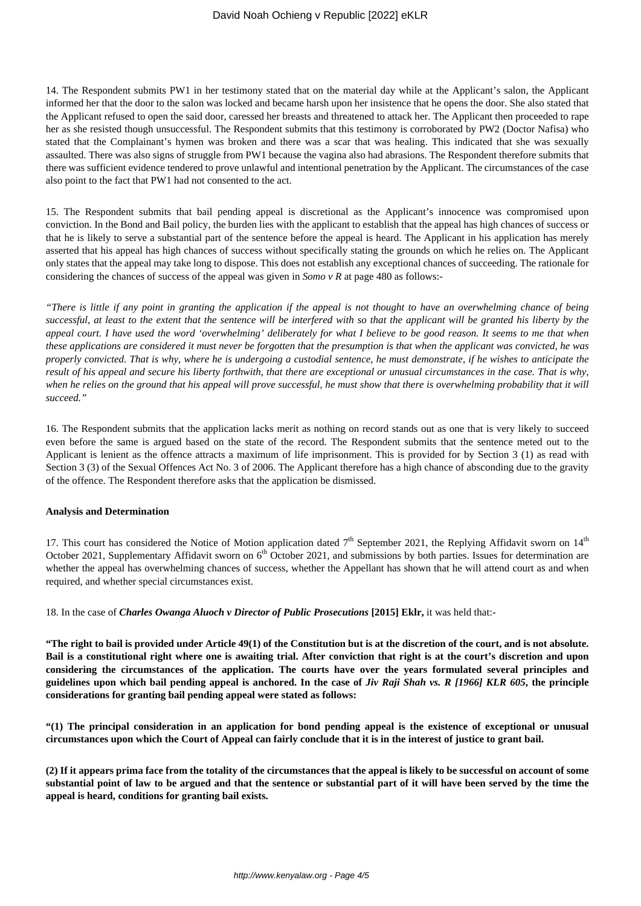14. The Respondent submits PW1 in her testimony stated that on the material day while at the Applicant's salon, the Applicant informed her that the door to the salon was locked and became harsh upon her insistence that he opens the door. She also stated that the Applicant refused to open the said door, caressed her breasts and threatened to attack her. The Applicant then proceeded to rape her as she resisted though unsuccessful. The Respondent submits that this testimony is corroborated by PW2 (Doctor Nafisa) who stated that the Complainant's hymen was broken and there was a scar that was healing. This indicated that she was sexually assaulted. There was also signs of struggle from PW1 because the vagina also had abrasions. The Respondent therefore submits that there was sufficient evidence tendered to prove unlawful and intentional penetration by the Applicant. The circumstances of the case also point to the fact that PW1 had not consented to the act.

15. The Respondent submits that bail pending appeal is discretional as the Applicant's innocence was compromised upon conviction. In the Bond and Bail policy, the burden lies with the applicant to establish that the appeal has high chances of success or that he is likely to serve a substantial part of the sentence before the appeal is heard. The Applicant in his application has merely asserted that his appeal has high chances of success without specifically stating the grounds on which he relies on. The Applicant only states that the appeal may take long to dispose. This does not establish any exceptional chances of succeeding. The rationale for considering the chances of success of the appeal was given in *Somo v R* at page 480 as follows:-

*"There is little if any point in granting the application if the appeal is not thought to have an overwhelming chance of being successful, at least to the extent that the sentence will be interfered with so that the applicant will be granted his liberty by the appeal court. I have used the word 'overwhelming' deliberately for what I believe to be good reason. It seems to me that when these applications are considered it must never be forgotten that the presumption is that when the applicant was convicted, he was properly convicted. That is why, where he is undergoing a custodial sentence, he must demonstrate, if he wishes to anticipate the result of his appeal and secure his liberty forthwith, that there are exceptional or unusual circumstances in the case. That is why,* when he relies on the ground that his appeal will prove successful, he must show that there is overwhelming probability that it will *succeed."*

16. The Respondent submits that the application lacks merit as nothing on record stands out as one that is very likely to succeed even before the same is argued based on the state of the record. The Respondent submits that the sentence meted out to the Applicant is lenient as the offence attracts a maximum of life imprisonment. This is provided for by Section 3 (1) as read with Section 3 (3) of the Sexual Offences Act No. 3 of 2006. The Applicant therefore has a high chance of absconding due to the gravity of the offence. The Respondent therefore asks that the application be dismissed.

#### **Analysis and Determination**

17. This court has considered the Notice of Motion application dated  $7<sup>th</sup>$  September 2021, the Replying Affidavit sworn on  $14<sup>th</sup>$ October 2021, Supplementary Affidavit sworn on 6<sup>th</sup> October 2021, and submissions by both parties. Issues for determination are whether the appeal has overwhelming chances of success, whether the Appellant has shown that he will attend court as and when required, and whether special circumstances exist.

18. In the case of *Charles Owanga Aluoch v Director of Public Prosecutions* **[2015] Eklr,** it was held that:-

**"The right to bail is provided under Article 49(1) of the Constitution but is at the discretion of the court, and is not absolute. Bail is a constitutional right where one is awaiting trial. After conviction that right is at the court's discretion and upon considering the circumstances of the application. The courts have over the years formulated several principles and guidelines upon which bail pending appeal is anchored. In the case of** *Jiv Raji Shah vs. R [1966] KLR 605***, the principle considerations for granting bail pending appeal were stated as follows:**

**"(1) The principal consideration in an application for bond pending appeal is the existence of exceptional or unusual circumstances upon which the Court of Appeal can fairly conclude that it is in the interest of justice to grant bail.**

**(2) If it appears prima face from the totality of the circumstances that the appeal is likely to be successful on account of some substantial point of law to be argued and that the sentence or substantial part of it will have been served by the time the appeal is heard, conditions for granting bail exists.**